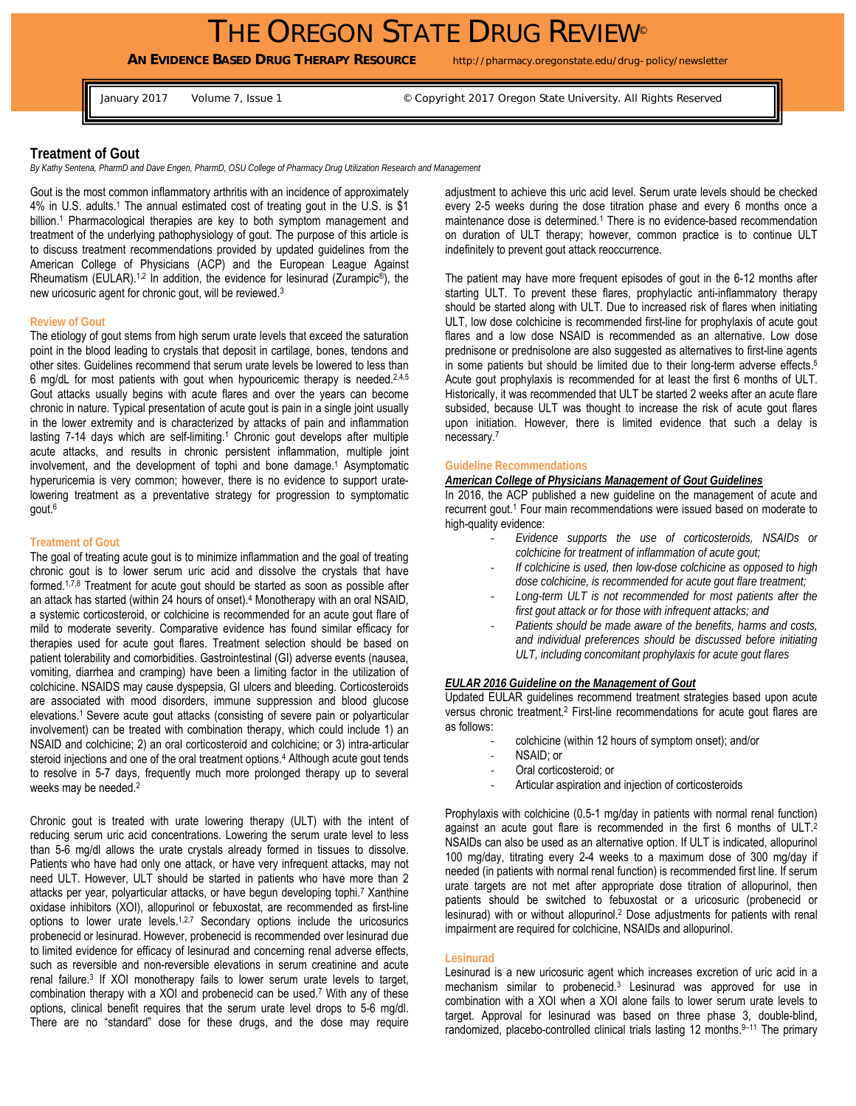# THE OREGON STATE DRUG REVIEW<sup>®</sup>

**AN EVIDENCE BASED DRUG THERAPY RESOURCE** http://pharmacy.oregonstate.edu/drug-policy/newsletter

January 2017 Volume 7, Issue 1 **Depart 2017** Oregon State University. All Rights Reserved

# **Treatment of Gout**

*By Kathy Sentena, PharmD and Dave Engen, PharmD, OSU College of Pharmacy Drug Utilization Research and Management* 

Gout is the most common inflammatory arthritis with an incidence of approximately 4% in U.S. adults.<sup>1</sup> The annual estimated cost of treating gout in the U.S. is \$1 billion.<sup>1</sup> Pharmacological therapies are key to both symptom management and treatment of the underlying pathophysiology of gout. The purpose of this article is to discuss treatment recommendations provided by updated guidelines from the American College of Physicians (ACP) and the European League Against Rheumatism (EULAR).<sup>1,2</sup> In addition, the evidence for lesinurad (Zurampic<sup>®</sup>), the new uricosuric agent for chronic gout, will be reviewed.3

#### **Review of Gout**

The etiology of gout stems from high serum urate levels that exceed the saturation point in the blood leading to crystals that deposit in cartilage, bones, tendons and other sites. Guidelines recommend that serum urate levels be lowered to less than 6 mg/dL for most patients with gout when hypouricemic therapy is needed.<sup>2,4,5</sup> Gout attacks usually begins with acute flares and over the years can become chronic in nature. Typical presentation of acute gout is pain in a single joint usually in the lower extremity and is characterized by attacks of pain and inflammation lasting 7-14 days which are self-limiting.<sup>1</sup> Chronic gout develops after multiple acute attacks, and results in chronic persistent inflammation, multiple joint involvement, and the development of tophi and bone damage.<sup>1</sup> Asymptomatic hyperuricemia is very common; however, there is no evidence to support uratelowering treatment as a preventative strategy for progression to symptomatic gout.6

#### **Treatment of Gout**

The goal of treating acute gout is to minimize inflammation and the goal of treating chronic gout is to lower serum uric acid and dissolve the crystals that have formed.1,7,8 Treatment for acute gout should be started as soon as possible after an attack has started (within 24 hours of onset).4 Monotherapy with an oral NSAID, a systemic corticosteroid, or colchicine is recommended for an acute gout flare of mild to moderate severity. Comparative evidence has found similar efficacy for therapies used for acute gout flares. Treatment selection should be based on patient tolerability and comorbidities. Gastrointestinal (GI) adverse events (nausea, vomiting, diarrhea and cramping) have been a limiting factor in the utilization of colchicine. NSAIDS may cause dyspepsia, GI ulcers and bleeding. Corticosteroids are associated with mood disorders, immune suppression and blood glucose elevations.1 Severe acute gout attacks (consisting of severe pain or polyarticular involvement) can be treated with combination therapy, which could include 1) an NSAID and colchicine; 2) an oral corticosteroid and colchicine; or 3) intra-articular steroid injections and one of the oral treatment options.<sup>4</sup> Although acute gout tends to resolve in 5-7 days, frequently much more prolonged therapy up to several weeks may be needed.2

Chronic gout is treated with urate lowering therapy (ULT) with the intent of reducing serum uric acid concentrations. Lowering the serum urate level to less than 5-6 mg/dl allows the urate crystals already formed in tissues to dissolve. Patients who have had only one attack, or have very infrequent attacks, may not need ULT. However, ULT should be started in patients who have more than 2 attacks per year, polyarticular attacks, or have begun developing tophi.7 Xanthine oxidase inhibitors (XOI), allopurinol or febuxostat, are recommended as first-line options to lower urate levels.<sup>1,2,7</sup> Secondary options include the uricosurics probenecid or lesinurad. However, probenecid is recommended over lesinurad due to limited evidence for efficacy of lesinurad and concerning renal adverse effects, such as reversible and non-reversible elevations in serum creatinine and acute renal failure.3 If XOI monotherapy fails to lower serum urate levels to target, combination therapy with a XOI and probenecid can be used.7 With any of these options, clinical benefit requires that the serum urate level drops to 5-6 mg/dl. There are no "standard" dose for these drugs, and the dose may require adjustment to achieve this uric acid level. Serum urate levels should be checked every 2-5 weeks during the dose titration phase and every 6 months once a maintenance dose is determined.<sup>1</sup> There is no evidence-based recommendation on duration of ULT therapy; however, common practice is to continue ULT indefinitely to prevent gout attack reoccurrence.

The patient may have more frequent episodes of gout in the 6-12 months after starting ULT. To prevent these flares, prophylactic anti-inflammatory therapy should be started along with ULT. Due to increased risk of flares when initiating ULT, low dose colchicine is recommended first-line for prophylaxis of acute gout flares and a low dose NSAID is recommended as an alternative. Low dose prednisone or prednisolone are also suggested as alternatives to first-line agents in some patients but should be limited due to their long-term adverse effects.5 Acute gout prophylaxis is recommended for at least the first 6 months of ULT. Historically, it was recommended that ULT be started 2 weeks after an acute flare subsided, because ULT was thought to increase the risk of acute gout flares upon initiation. However, there is limited evidence that such a delay is necessary.7

### **Guideline Recommendations**

# *American College of Physicians Management of Gout Guidelines*

In 2016, the ACP published a new guideline on the management of acute and recurrent gout.<sup>1</sup> Four main recommendations were issued based on moderate to high-quality evidence:

- *Evidence supports the use of corticosteroids, NSAIDs or colchicine for treatment of inflammation of acute gout;*
- *If colchicine is used, then low-dose colchicine as opposed to high dose colchicine, is recommended for acute gout flare treatment;*
- *Long-term ULT is not recommended for most patients after the first gout attack or for those with infrequent attacks; and*
- *Patients should be made aware of the benefits, harms and costs, and individual preferences should be discussed before initiating ULT, including concomitant prophylaxis for acute gout flares*

### *EULAR 2016 Guideline on the Management of Gout*

Updated EULAR guidelines recommend treatment strategies based upon acute versus chronic treatment.2 First-line recommendations for acute gout flares are as follows:

- colchicine (within 12 hours of symptom onset); and/or
- NSAID; or
- Oral corticosteroid; or
- Articular aspiration and injection of corticosteroids

Prophylaxis with colchicine (0.5-1 mg/day in patients with normal renal function) against an acute gout flare is recommended in the first 6 months of ULT.<sup>2</sup> NSAIDs can also be used as an alternative option. If ULT is indicated, allopurinol 100 mg/day, titrating every 2-4 weeks to a maximum dose of 300 mg/day if needed (in patients with normal renal function) is recommended first line. If serum urate targets are not met after appropriate dose titration of allopurinol, then patients should be switched to febuxostat or a uricosuric (probenecid or lesinurad) with or without allopurinol.<sup>2</sup> Dose adjustments for patients with renal impairment are required for colchicine, NSAIDs and allopurinol.

#### **Lesinurad**

Lesinurad is a new uricosuric agent which increases excretion of uric acid in a mechanism similar to probenecid.3 Lesinurad was approved for use in combination with a XOI when a XOI alone fails to lower serum urate levels to target. Approval for lesinurad was based on three phase 3, double-blind, randomized, placebo-controlled clinical trials lasting 12 months.<sup>9-11</sup> The primary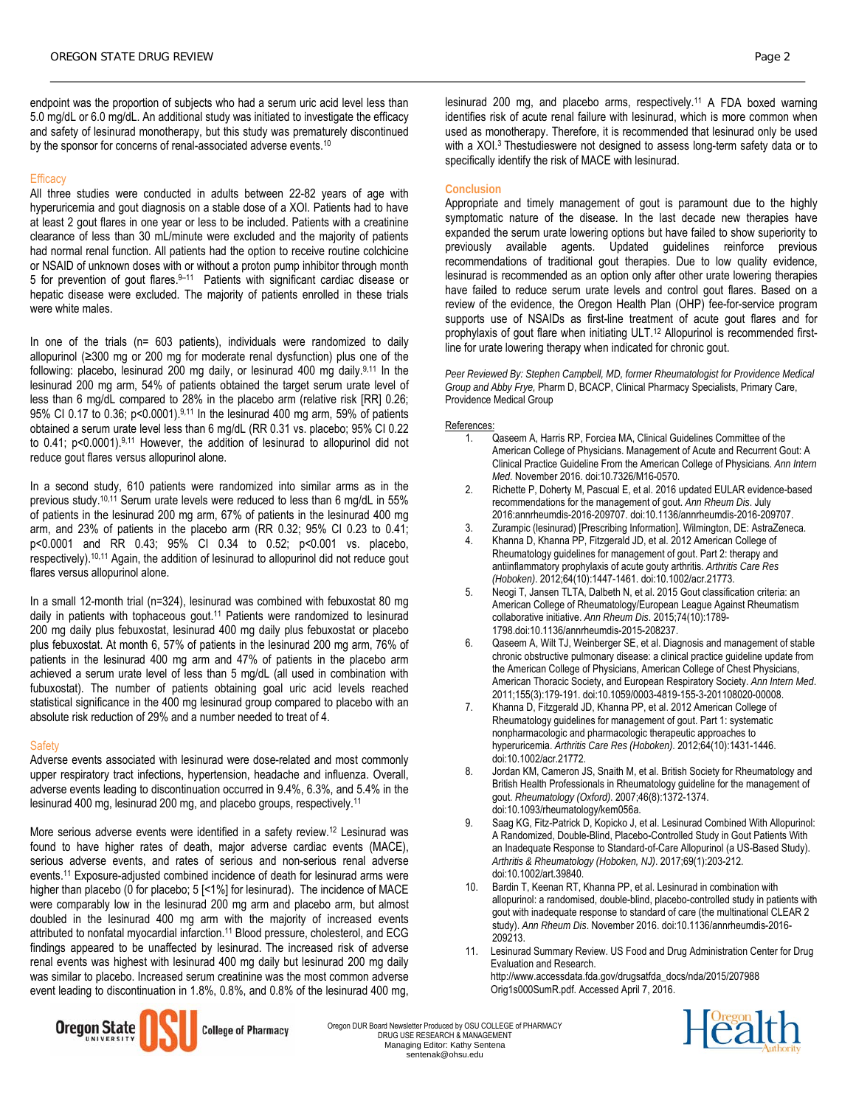endpoint was the proportion of subjects who had a serum uric acid level less than 5.0 mg/dL or 6.0 mg/dL. An additional study was initiated to investigate the efficacy and safety of lesinurad monotherapy, but this study was prematurely discontinued by the sponsor for concerns of renal-associated adverse events.<sup>10</sup>

# **Efficacy**

All three studies were conducted in adults between 22-82 years of age with hyperuricemia and gout diagnosis on a stable dose of a XOI. Patients had to have at least 2 gout flares in one year or less to be included. Patients with a creatinine clearance of less than 30 mL/minute were excluded and the majority of patients had normal renal function. All patients had the option to receive routine colchicine or NSAID of unknown doses with or without a proton pump inhibitor through month 5 for prevention of gout flares.9–11 Patients with significant cardiac disease or hepatic disease were excluded. The majority of patients enrolled in these trials were white males.

In one of the trials (n= 603 patients), individuals were randomized to daily allopurinol (≥300 mg or 200 mg for moderate renal dysfunction) plus one of the following: placebo, lesinurad 200 mg daily, or lesinurad 400 mg daily.9,11 In the lesinurad 200 mg arm, 54% of patients obtained the target serum urate level of less than 6 mg/dL compared to 28% in the placebo arm (relative risk [RR] 0.26; 95% CI 0.17 to 0.36; p<0.0001).<sup>9,11</sup> In the lesinurad 400 mg arm, 59% of patients obtained a serum urate level less than 6 mg/dL (RR 0.31 vs. placebo; 95% CI 0.22 to 0.41; p<0.0001).<sup>9,11</sup> However, the addition of lesinurad to allopurinol did not reduce gout flares versus allopurinol alone.

In a second study, 610 patients were randomized into similar arms as in the previous study.10,11 Serum urate levels were reduced to less than 6 mg/dL in 55% of patients in the lesinurad 200 mg arm, 67% of patients in the lesinurad 400 mg arm, and 23% of patients in the placebo arm (RR 0.32; 95% CI 0.23 to 0.41; p<0.0001 and RR 0.43; 95% CI 0.34 to 0.52; p<0.001 vs. placebo, respectively).10,11 Again, the addition of lesinurad to allopurinol did not reduce gout flares versus allopurinol alone.

In a small 12-month trial (n=324), lesinurad was combined with febuxostat 80 mg daily in patients with tophaceous gout.11 Patients were randomized to lesinurad 200 mg daily plus febuxostat, lesinurad 400 mg daily plus febuxostat or placebo plus febuxostat. At month 6, 57% of patients in the lesinurad 200 mg arm, 76% of patients in the lesinurad 400 mg arm and 47% of patients in the placebo arm achieved a serum urate level of less than 5 mg/dL (all used in combination with fubuxostat). The number of patients obtaining goal uric acid levels reached statistical significance in the 400 mg lesinurad group compared to placebo with an absolute risk reduction of 29% and a number needed to treat of 4.

### **Safety**

Adverse events associated with lesinurad were dose-related and most commonly upper respiratory tract infections, hypertension, headache and influenza. Overall, adverse events leading to discontinuation occurred in 9.4%, 6.3%, and 5.4% in the lesinurad 400 mg, lesinurad 200 mg, and placebo groups, respectively.11

More serious adverse events were identified in a safety review.12 Lesinurad was found to have higher rates of death, major adverse cardiac events (MACE), serious adverse events, and rates of serious and non-serious renal adverse events.11 Exposure-adjusted combined incidence of death for lesinurad arms were higher than placebo (0 for placebo; 5 [<1%] for lesinurad). The incidence of MACE were comparably low in the lesinurad 200 mg arm and placebo arm, but almost doubled in the lesinurad 400 mg arm with the majority of increased events attributed to nonfatal myocardial infarction.11 Blood pressure, cholesterol, and ECG findings appeared to be unaffected by lesinurad. The increased risk of adverse renal events was highest with lesinurad 400 mg daily but lesinurad 200 mg daily was similar to placebo. Increased serum creatinine was the most common adverse event leading to discontinuation in 1.8%, 0.8%, and 0.8% of the lesinurad 400 mg,

lesinurad 200 mg, and placebo arms, respectively.11 A FDA boxed warning identifies risk of acute renal failure with lesinurad, which is more common when used as monotherapy. Therefore, it is recommended that lesinurad only be used with a XOI.<sup>3</sup> Thestudieswere not designed to assess long-term safety data or to specifically identify the risk of MACE with lesinurad.

# **Conclusion**

Appropriate and timely management of gout is paramount due to the highly symptomatic nature of the disease. In the last decade new therapies have expanded the serum urate lowering options but have failed to show superiority to previously available agents. Updated guidelines reinforce previous recommendations of traditional gout therapies. Due to low quality evidence, lesinurad is recommended as an option only after other urate lowering therapies have failed to reduce serum urate levels and control gout flares. Based on a review of the evidence, the Oregon Health Plan (OHP) fee-for-service program supports use of NSAIDs as first-line treatment of acute gout flares and for prophylaxis of gout flare when initiating ULT.<sup>12</sup> Allopurinol is recommended firstline for urate lowering therapy when indicated for chronic gout.

*Peer Reviewed By: Stephen Campbell, MD, former Rheumatologist for Providence Medical Group and Abby Frye,* Pharm D, BCACP, Clinical Pharmacy Specialists, Primary Care, Providence Medical Group

#### References:

- 1. Qaseem A, Harris RP, Forciea MA, Clinical Guidelines Committee of the American College of Physicians. Management of Acute and Recurrent Gout: A Clinical Practice Guideline From the American College of Physicians. *Ann Intern Med*. November 2016. doi:10.7326/M16-0570.
- 2. Richette P, Doherty M, Pascual E, et al. 2016 updated EULAR evidence-based recommendations for the management of gout. *Ann Rheum Dis*. July 2016:annrheumdis-2016-209707. doi:10.1136/annrheumdis-2016-209707.
- 3. Zurampic (lesinurad) [Prescribing Information]. Wilmington, DE: AstraZeneca.
- 4. Khanna D, Khanna PP, Fitzgerald JD, et al. 2012 American College of Rheumatology guidelines for management of gout. Part 2: therapy and antiinflammatory prophylaxis of acute gouty arthritis. *Arthritis Care Res (Hoboken)*. 2012;64(10):1447-1461. doi:10.1002/acr.21773.
- 5. Neogi T, Jansen TLTA, Dalbeth N, et al. 2015 Gout classification criteria: an American College of Rheumatology/European League Against Rheumatism collaborative initiative. *Ann Rheum Dis*. 2015;74(10):1789- 1798.doi:10.1136/annrheumdis-2015-208237.
- 6. Qaseem A, Wilt TJ, Weinberger SE, et al. Diagnosis and management of stable chronic obstructive pulmonary disease: a clinical practice guideline update from the American College of Physicians, American College of Chest Physicians, American Thoracic Society, and European Respiratory Society. *Ann Intern Med*. 2011;155(3):179-191. doi:10.1059/0003-4819-155-3-201108020-00008.
- 7. Khanna D, Fitzgerald JD, Khanna PP, et al. 2012 American College of Rheumatology guidelines for management of gout. Part 1: systematic nonpharmacologic and pharmacologic therapeutic approaches to hyperuricemia. *Arthritis Care Res (Hoboken)*. 2012;64(10):1431-1446. doi:10.1002/acr.21772.
- 8. Jordan KM, Cameron JS, Snaith M, et al. British Society for Rheumatology and British Health Professionals in Rheumatology guideline for the management of gout. *Rheumatology (Oxford)*. 2007;46(8):1372-1374. doi:10.1093/rheumatology/kem056a.
- Saag KG, Fitz-Patrick D, Kopicko J, et al. Lesinurad Combined With Allopurinol: A Randomized, Double-Blind, Placebo-Controlled Study in Gout Patients With an Inadequate Response to Standard-of-Care Allopurinol (a US-Based Study). *Arthritis & Rheumatology (Hoboken, NJ)*. 2017;69(1):203-212. doi:10.1002/art.39840.
- 10. Bardin T, Keenan RT, Khanna PP, et al. Lesinurad in combination with allopurinol: a randomised, double-blind, placebo-controlled study in patients with gout with inadequate response to standard of care (the multinational CLEAR 2 study). *Ann Rheum Dis*. November 2016. doi:10.1136/annrheumdis-2016- 209213.
- 11. Lesinurad Summary Review. US Food and Drug Administration Center for Drug Evaluation and Research. http://www.accessdata.fda.gov/drugsatfda\_docs/nda/2015/207988 Orig1s000SumR.pdf. Accessed April 7, 2016.



Oregon DUR Board Newsletter Produced by OSU COLLEGE of PHARMACY DRUG USE RESEARCH & MANAGEMENT Managing Editor: Kathy Sentena sentenak@ohsu.edu